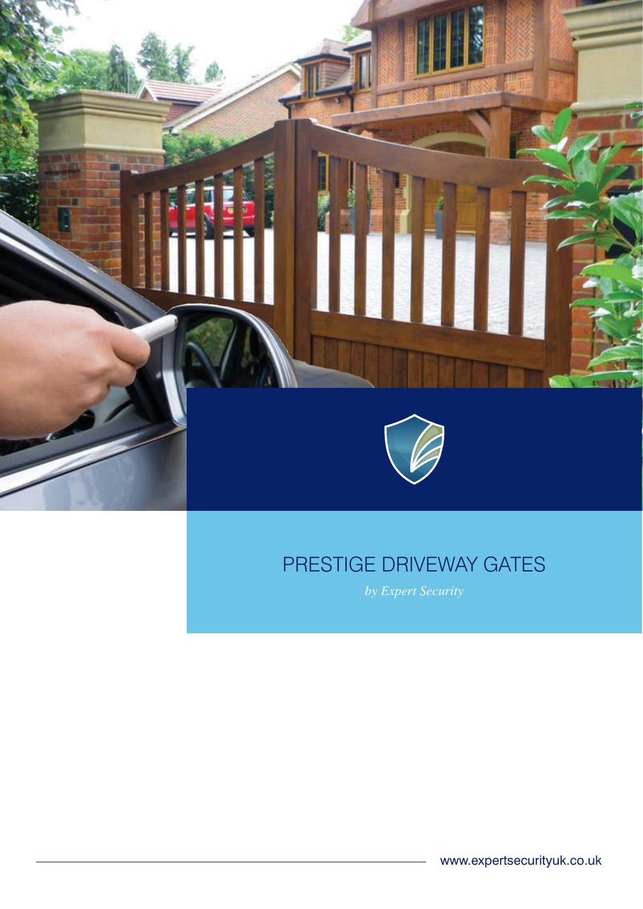

### PRESTIGE DRIVEWAY GATES

*by Expert Security*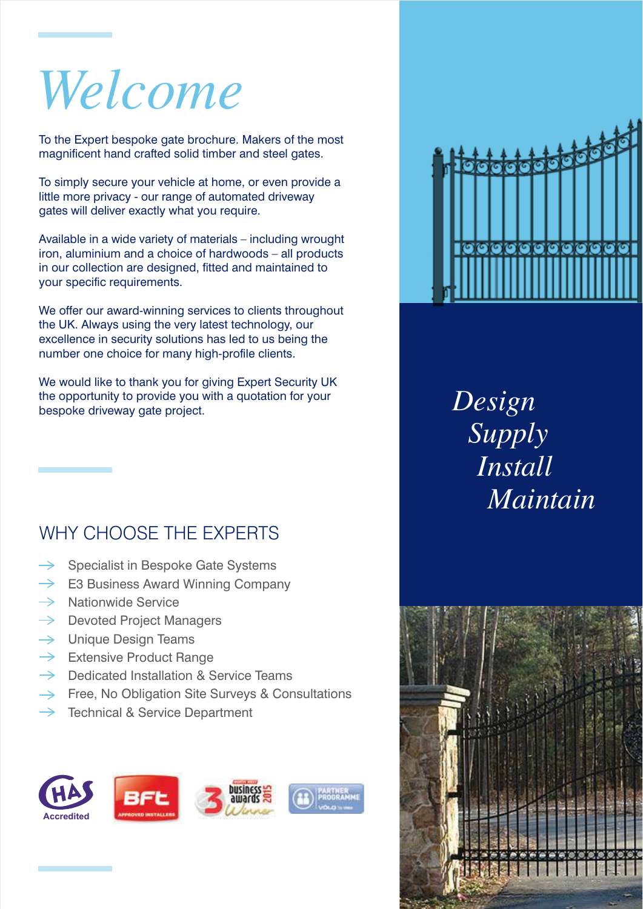# *Welcome*

To the Expert bespoke gate brochure. Makers of the most magnificent hand crafted solid timber and steel gates.

To simply secure your vehicle at home, or even provide a little more privacy - our range of automated driveway gates will deliver exactly what you require.

Available in a wide variety of materials – including wrought iron, aluminium and a choice of hardwoods – all products in our collection are designed, fitted and maintained to your specific requirements.

We offer our award-winning services to clients throughout the UK. Always using the very latest technology, our excellence in security solutions has led to us being the number one choice for many high-profile clients.

We would like to thank you for giving Expert Security UK the opportunity to provide you with a quotation for your bespoke driveway gate project.

#### WHY CHOOSE THE EXPERTS

- Specialist in Bespoke Gate Systems
- $\rightarrow$  E3 Business Award Winning Company
- $\rightarrow$  Nationwide Service
- $\rightarrow$  Devoted Project Managers
- $\rightarrow$  Unique Design Teams
- $\rightarrow$  Extensive Product Range
- $\rightarrow$  Dedicated Installation & Service Teams
- $\rightarrow$  Free, No Obligation Site Surveys & Consultations
- Technical & Service Department





*Design Supply Install Maintain*

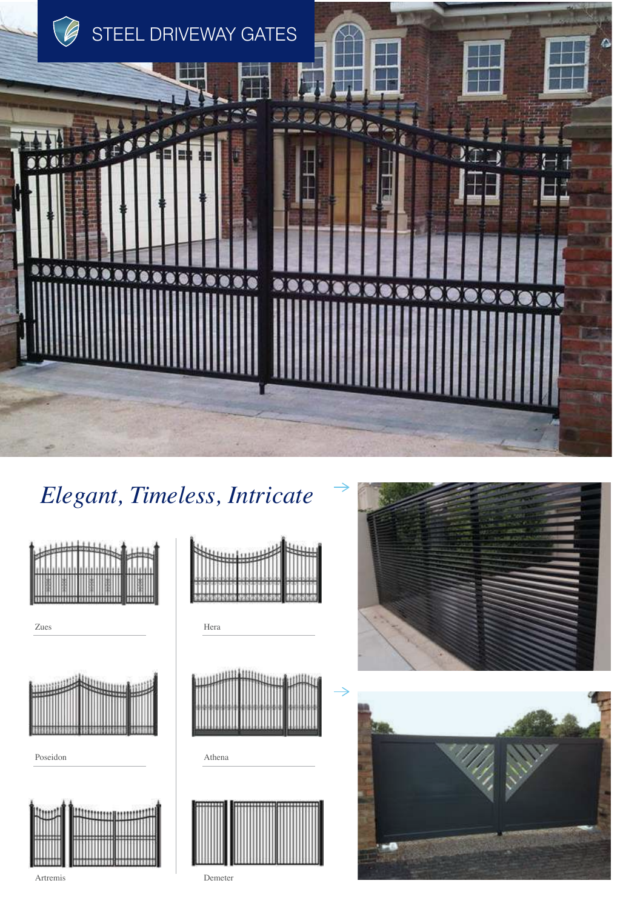

## Elegant, Timeless, Intricate



Zues



Poseidon



Artremis



Hera



Athena







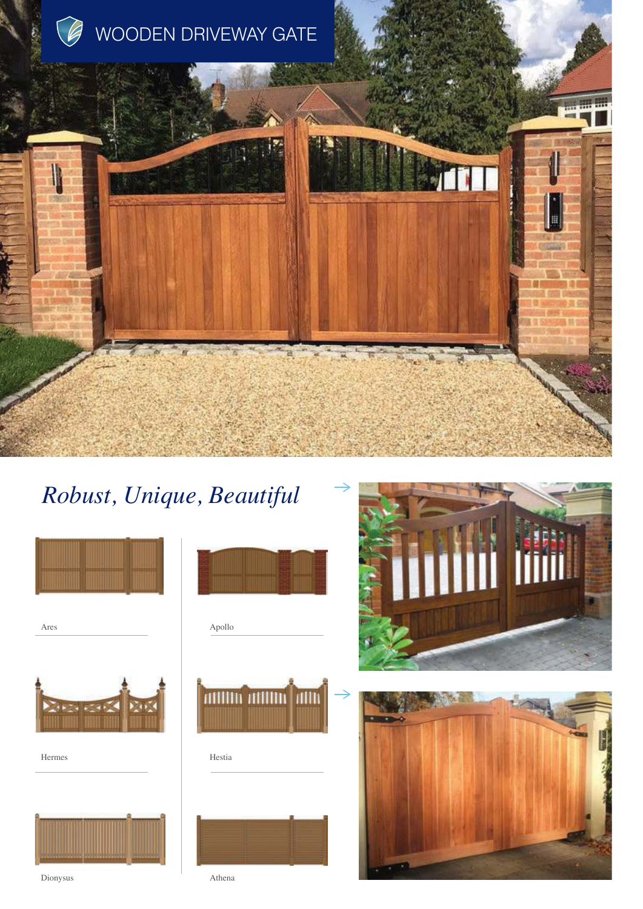

## *Robust, Unique, Beautiful*



Ares





Dionysus Athena





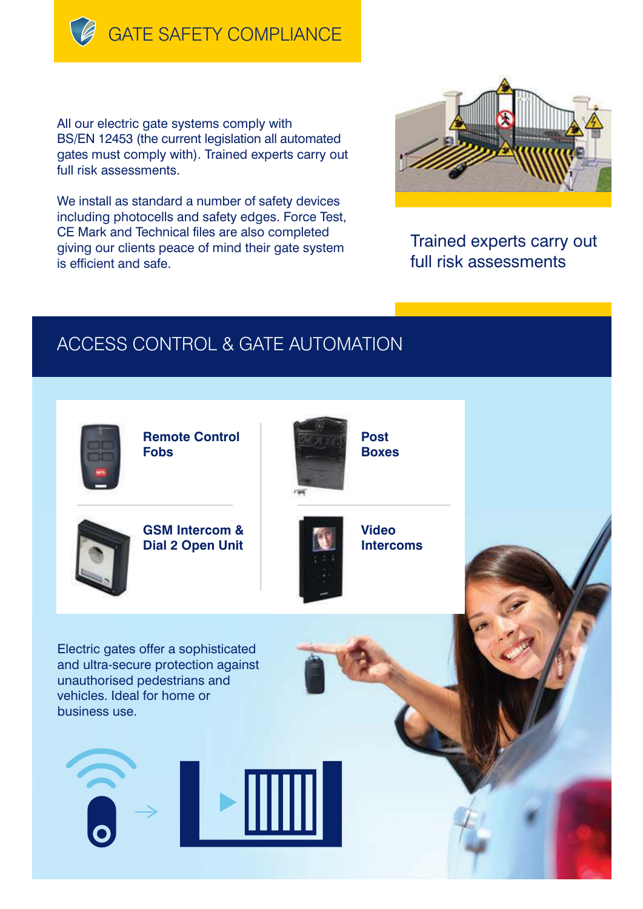**GATE SAFETY COMPLIANCE** 

All our electric gate systems comply with BS/EN 12453 (the current legislation all automated gates must comply with). Trained experts carry out full risk assessments.

We install as standard a number of safety devices including photocells and safety edges. Force Test, CE Mark and Technical files are also completed giving our clients peace of mind their gate system is efficient and safe.



Trained experts carry out full risk assessments

#### ACCESS CONTROL & GATE AUTOMATION



**Remote Control Fobs**



**GSM Intercom & Dial 2 Open Unit**



**Video Intercoms**

Electric gates offer a sophisticated and ultra-secure protection against unauthorised pedestrians and vehicles. Ideal for home or business use.